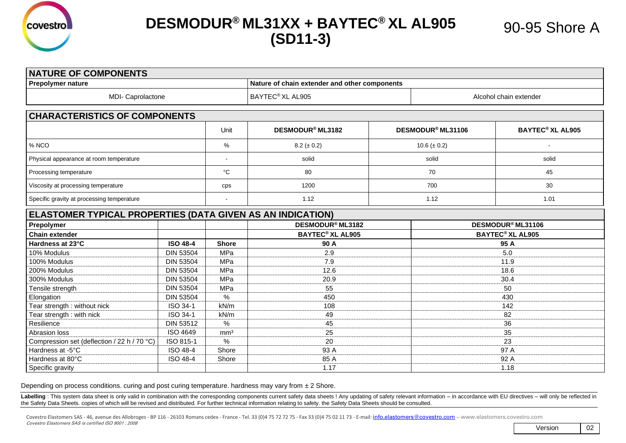

## **DESMODUR® ML31XX + BAYTEC® XL AL905 (SD11-3)**

| <b>NATURE OF COMPONENTS</b>                                |                  |                 |                                               |  |                                    |                                    |  |  |  |
|------------------------------------------------------------|------------------|-----------------|-----------------------------------------------|--|------------------------------------|------------------------------------|--|--|--|
| <b>Prepolymer nature</b>                                   |                  |                 | Nature of chain extender and other components |  |                                    |                                    |  |  |  |
| MDI- Caprolactone                                          |                  |                 | BAYTEC <sup>®</sup> XL AL905                  |  | Alcohol chain extender             |                                    |  |  |  |
| <b>CHARACTERISTICS OF COMPONENTS</b>                       |                  |                 |                                               |  |                                    |                                    |  |  |  |
|                                                            |                  | Unit            | DESMODUR <sup>®</sup> ML3182                  |  | DESMODUR <sup>®</sup> ML31106      | <b>BAYTEC<sup>®</sup> XL AL905</b> |  |  |  |
| % NCO                                                      |                  | %               | $8.2 (\pm 0.2)$                               |  | $10.6 (\pm 0.2)$                   |                                    |  |  |  |
| Physical appearance at room temperature                    |                  |                 | solid                                         |  | solid                              | solid                              |  |  |  |
| Processing temperature                                     |                  | $^{\circ}C$     | 80                                            |  | 70                                 | 45                                 |  |  |  |
| Viscosity at processing temperature                        |                  | cps             | 1200                                          |  | 700                                | 30                                 |  |  |  |
| Specific gravity at processing temperature                 |                  |                 | 1.12                                          |  | 1.12                               | 1.01                               |  |  |  |
| ELASTOMER TYPICAL PROPERTIES (DATA GIVEN AS AN INDICATION) |                  |                 |                                               |  |                                    |                                    |  |  |  |
| Prepolymer                                                 |                  |                 | DESMODUR <sup>®</sup> ML3182                  |  | DESMODUR <sup>®</sup> ML31106      |                                    |  |  |  |
| <b>Chain extender</b>                                      |                  |                 | <b>BAYTEC<sup>®</sup> XL AL905</b>            |  | <b>BAYTEC<sup>®</sup> XL AL905</b> |                                    |  |  |  |
| Hardness at 23°C                                           | <b>ISO 48-4</b>  | <b>Shore</b>    | 90 A                                          |  | 95 A                               |                                    |  |  |  |
| 10% Modulus                                                | <b>DIN 53504</b> | MPa             | 2.9                                           |  | 5.0                                |                                    |  |  |  |
| 100% Modulus                                               | <b>DIN 53504</b> | MPa             | 7.9                                           |  | 11.9                               |                                    |  |  |  |
| 200% Modulus                                               | <b>DIN 53504</b> | MPa             | 12.6                                          |  | 18.6                               |                                    |  |  |  |
| 300% Modulus                                               | <b>DIN 53504</b> | MPa             | 20.9                                          |  | 30.4                               |                                    |  |  |  |
| Tensile strength                                           | <b>DIN 53504</b> | MPa             | 55                                            |  | 50                                 |                                    |  |  |  |
| Elongation                                                 | <b>DIN 53504</b> | %               | 450                                           |  | 430                                |                                    |  |  |  |
| Tear strength : without nick                               | ISO 34-1         | kN/m            | 108                                           |  | 142                                |                                    |  |  |  |
| Tear strength: with nick                                   | ISO 34-1         | kN/m            | 49                                            |  |                                    | 82                                 |  |  |  |
| Resilience                                                 | <b>DIN 53512</b> | $\%$            | 45                                            |  | 36                                 |                                    |  |  |  |
| Abrasion loss                                              | ISO 4649         | mm <sup>3</sup> | 25                                            |  | 35                                 |                                    |  |  |  |
| Compression set (deflection / 22 h / 70 °C)                | ISO 815-1        | $\%$            | 20                                            |  | 23                                 |                                    |  |  |  |
| Hardness at -5°C                                           | ISO 48-4         | Shore           | 93 A                                          |  | 97 A                               |                                    |  |  |  |
| Hardness at 80°C                                           | <b>ISO 48-4</b>  | Shore           | 85 A                                          |  | 92 A                               |                                    |  |  |  |
| Specific gravity                                           |                  |                 | 1.17                                          |  | 1.18                               |                                    |  |  |  |

Depending on process conditions. curing and post curing temperature. hardness may vary from  $\pm 2$  Shore.

Labelling: This system data sheet is only valid in combination with the corresponding components current safety data sheets ! Any updating of safety relevant information - in accordance with EU directives - will only be re the Safety Data Sheets. copies of which will be revised and distributed. For further technical information relating to safety. the Safety Data Sheets should be consulted.

Covestro Elastomers SAS - 46, avenue des Allobroges - BP 116 - 26103 Romans cedex - France - Tel. 33 (0)4 75 72 72 75 - Fax 33 (0)4 75 02 11 73 - E-mail: [info.elastomers@covestro.com](mailto:info.elastomers@covestro.com) – www.elastomers.covestro.com Covestro Elastomers SAS is certified ISO 9001 : 2008